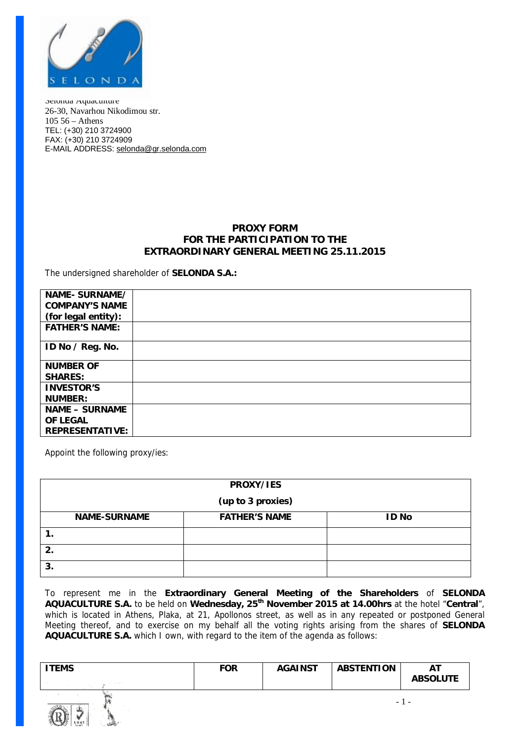

Selonda Aquaculture 26-30, Navarhou Nikodimou str. 105 56 – Athens TEL: (+30) 210 3724900 FAX: (+30) 210 3724909 E-MAIL ADDRESS: [selonda@gr.selonda.com](mailto:selonda@gr.selonda.com)

## **PROXY FORM FOR THE PARTICIPATION TO THE EXTRAORDINARY GENERAL MEETING 25.11.2015**

The undersigned shareholder of **SELONDA S.A.:**

| NAME-SURNAME/          |  |
|------------------------|--|
| <b>COMPANY'S NAME</b>  |  |
| (for legal entity):    |  |
| <b>FATHER'S NAME:</b>  |  |
| ID No / Reg. No.       |  |
| <b>NUMBER OF</b>       |  |
| <b>SHARES:</b>         |  |
| <b>INVESTOR'S</b>      |  |
| <b>NUMBER:</b>         |  |
| <b>NAME - SURNAME</b>  |  |
| OF LEGAL               |  |
| <b>REPRESENTATIVE:</b> |  |

Appoint the following proxy/ies:

| PROXY/IES           |                      |              |  |  |  |  |  |
|---------------------|----------------------|--------------|--|--|--|--|--|
| (up to 3 proxies)   |                      |              |  |  |  |  |  |
| <b>NAME-SURNAME</b> | <b>FATHER'S NAME</b> | <b>ID No</b> |  |  |  |  |  |
|                     |                      |              |  |  |  |  |  |
| 2.                  |                      |              |  |  |  |  |  |
| 3.                  |                      |              |  |  |  |  |  |

To represent me in the **Extraordinary General Meeting of the Shareholders** of **SELONDA AQUACULTURE S.A.** to be held on **Wednesday, 25th November 2015 at 14.00hrs** at the hotel "**Central**", which is located in Athens, Plaka, at 21, Apollonos street, as well as in any repeated or postponed General Meeting thereof, and to exercise on my behalf all the voting rights arising from the shares of **SELONDA AQUACULTURE S.A.** which I own, with regard to the item of the agenda as follows:

| ITEMS | <b>FOR</b> | <b>AGAINST</b> | <b>ABSTENTION</b> | ΑT              |
|-------|------------|----------------|-------------------|-----------------|
|       |            |                |                   | <b>ABSOLUTE</b> |
|       |            |                |                   |                 |

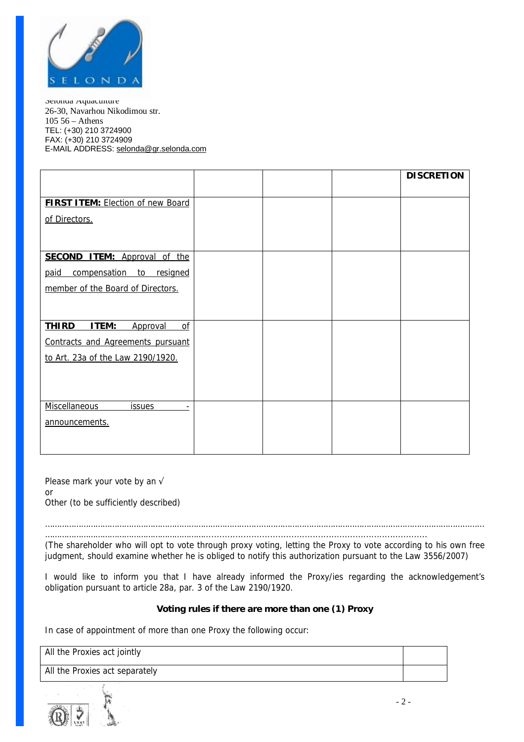

Selonda Aquaculture 26-30, Navarhou Nikodimou str. 105 56 – Athens TEL: (+30) 210 3724900 FAX: (+30) 210 3724909 E-MAIL ADDRESS: [selonda@gr.selonda.com](mailto:selonda@gr.selonda.com)

|                                          |  | <b>DISCRETION</b> |
|------------------------------------------|--|-------------------|
|                                          |  |                   |
| <b>FIRST ITEM: Election of new Board</b> |  |                   |
| of Directors.                            |  |                   |
|                                          |  |                   |
|                                          |  |                   |
| <b>SECOND ITEM: Approval of the</b>      |  |                   |
| compensation to resigned<br>paid         |  |                   |
| member of the Board of Directors.        |  |                   |
|                                          |  |                   |
|                                          |  |                   |
| <b>THIRD</b><br>ITEM:<br>Approval<br>of  |  |                   |
| Contracts and Agreements pursuant        |  |                   |
| to Art. 23a of the Law 2190/1920.        |  |                   |
|                                          |  |                   |
|                                          |  |                   |
|                                          |  |                   |
| <b>Miscellaneous</b><br><i>issues</i>    |  |                   |
| announcements.                           |  |                   |
|                                          |  |                   |
|                                          |  |                   |

Please mark your vote by an  $\sqrt{ }$ 

or

Other (to be sufficiently described)

………………………………………………………………………………………………………………………………………………………………… …………………………………………………………....................................................................................

(The shareholder who will opt to vote through proxy voting, letting the Proxy to vote according to his own free *judgment, should examine whether he is obliged to notify this authorization pursuant to the Law 3556/2007)* 

I would like to inform you that I have already informed the Proxy/ies regarding the acknowledgement's obligation pursuant to article 28a, par. 3 of the Law 2190/1920.

## **Voting rules if there are more than one (1) Proxy**

*In case of appointment of more than one Proxy the following occur:* 

*All the Proxies act jointly*

*All the Proxies act separately*